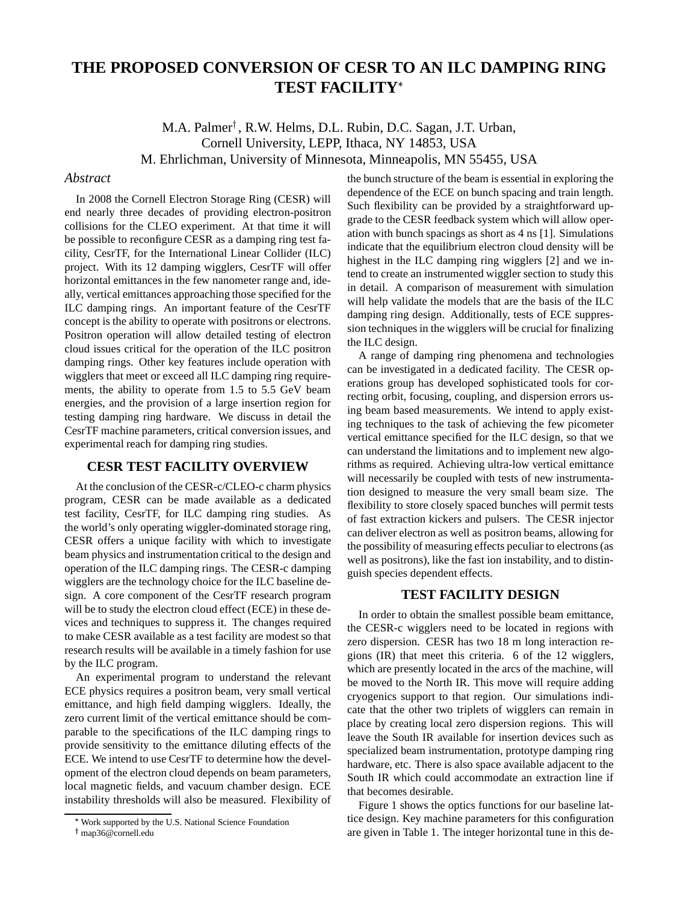# **THE PROPOSED CONVERSION OF CESR TO AN ILC DAMPING RING TEST FACILITY**

M.A. Palmer , R.W. Helms, D.L. Rubin, D.C. Sagan, J.T. Urban, Cornell University, LEPP, Ithaca, NY 14853, USA M. Ehrlichman, University of Minnesota, Minneapolis, MN 55455, USA

#### *Abstract*

In 2008 the Cornell Electron Storage Ring (CESR) will end nearly three decades of providing electron-positron collisions for the CLEO experiment. At that time it will be possible to reconfigure CESR as a damping ring test facility, CesrTF, for the International Linear Collider (ILC) project. With its 12 damping wigglers, CesrTF will offer horizontal emittances in the few nanometer range and, ideally, vertical emittances approaching those specified for the ILC damping rings. An important feature of the CesrTF concept is the ability to operate with positrons or electrons. Positron operation will allow detailed testing of electron cloud issues critical for the operation of the ILC positron damping rings. Other key features include operation with wigglers that meet or exceed all ILC damping ring requirements, the ability to operate from 1.5 to 5.5 GeV beam energies, and the provision of a large insertion region for testing damping ring hardware. We discuss in detail the CesrTF machine parameters, critical conversion issues, and experimental reach for damping ring studies.

## **CESR TEST FACILITY OVERVIEW**

At the conclusion of the CESR-c/CLEO-c charm physics program, CESR can be made available as a dedicated test facility, CesrTF, for ILC damping ring studies. As the world's only operating wiggler-dominated storage ring, CESR offers a unique facility with which to investigate beam physics and instrumentation critical to the design and operation of the ILC damping rings. The CESR-c damping wigglers are the technology choice for the ILC baseline design. A core component of the CesrTF research program will be to study the electron cloud effect (ECE) in these devices and techniques to suppress it. The changes required to make CESR available as a test facility are modest so that research results will be available in a timely fashion for use by the ILC program.

An experimental program to understand the relevant ECE physics requires a positron beam, very small vertical emittance, and high field damping wigglers. Ideally, the zero current limit of the vertical emittance should be comparable to the specifications of the ILC damping rings to provide sensitivity to the emittance diluting effects of the ECE. We intend to use CesrTF to determine how the development of the electron cloud depends on beam parameters, local magnetic fields, and vacuum chamber design. ECE instability thresholds will also be measured. Flexibility of

the bunch structure of the beam is essential in exploring the dependence of the ECE on bunch spacing and train length. Such flexibility can be provided by a straightforward upgrade to the CESR feedback system which will allow operation with bunch spacings as short as 4 ns [1]. Simulations indicate that the equilibrium electron cloud density will be highest in the ILC damping ring wigglers [2] and we intend to create an instrumented wiggler section to study this in detail. A comparison of measurement with simulation will help validate the models that are the basis of the ILC damping ring design. Additionally, tests of ECE suppression techniques in the wigglers will be crucial for finalizing the ILC design.

A range of damping ring phenomena and technologies can be investigated in a dedicated facility. The CESR operations group has developed sophisticated tools for correcting orbit, focusing, coupling, and dispersion errors using beam based measurements. We intend to apply existing techniques to the task of achieving the few picometer vertical emittance specified for the ILC design, so that we can understand the limitations and to implement new algorithms as required. Achieving ultra-low vertical emittance will necessarily be coupled with tests of new instrumentation designed to measure the very small beam size. The flexibility to store closely spaced bunches will permit tests of fast extraction kickers and pulsers. The CESR injector can deliver electron as well as positron beams, allowing for the possibility of measuring effects peculiar to electrons (as well as positrons), like the fast ion instability, and to distinguish species dependent effects.

## **TEST FACILITY DESIGN**

In order to obtain the smallest possible beam emittance, the CESR-c wigglers need to be located in regions with zero dispersion. CESR has two 18 m long interaction regions (IR) that meet this criteria. 6 of the 12 wigglers, which are presently located in the arcs of the machine, will be moved to the North IR. This move will require adding cryogenics support to that region. Our simulations indicate that the other two triplets of wigglers can remain in place by creating local zero dispersion regions. This will leave the South IR available for insertion devices such as specialized beam instrumentation, prototype damping ring hardware, etc. There is also space available adjacent to the South IR which could accommodate an extraction line if that becomes desirable.

Figure 1 shows the optics functions for our baseline lattice design. Key machine parameters for this configuration are given in Table 1. The integer horizontal tune in this de-

<sup>-</sup> Work supported by the U.S. National Science Foundation

map36@cornell.edu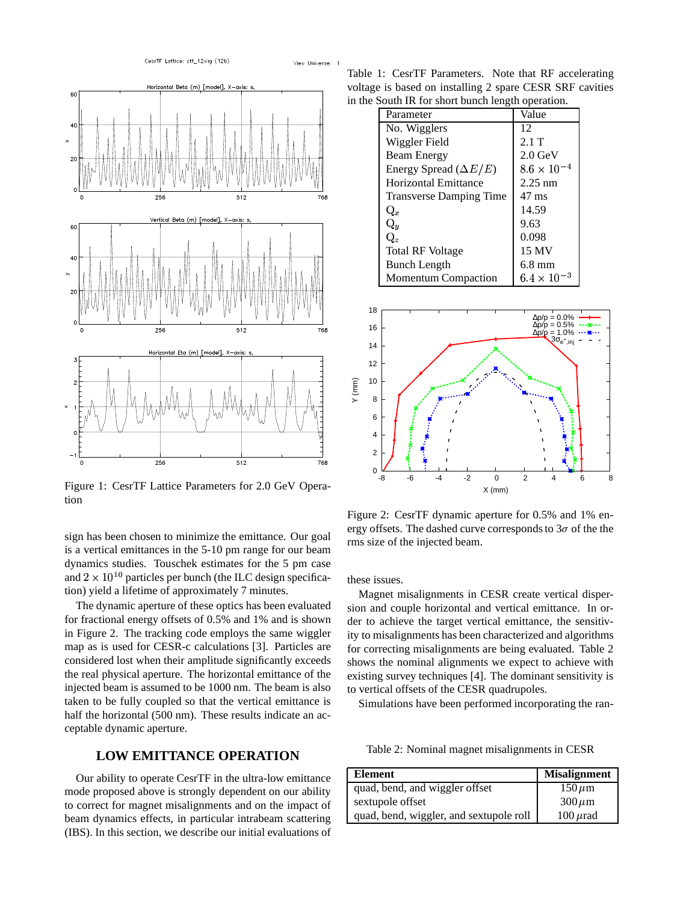

Figure 1: CesrTF Lattice Parameters for 2.0 GeV Operation

sign has been chosen to minimize the emittance. Our goal is a vertical emittances in the 5-10 pm range for our beam dynamics studies. Touschek estimates for the 5 pm case and  $2 \times 10^{10}$  particles per bunch (the ILC design specification) yield a lifetime of approximately 7 minutes.

The dynamic aperture of these optics has been evaluated for fractional energy offsets of 0.5% and 1% and is shown in Figure 2. The tracking code employs the same wiggler map as is used for CESR-c calculations [3]. Particles are considered lost when their amplitude significantly exceeds the real physical aperture. The horizontal emittance of the injected beam is assumed to be 1000 nm. The beam is also taken to be fully coupled so that the vertical emittance is half the horizontal (500 nm). These results indicate an acceptable dynamic aperture.

## **LOW EMITTANCE OPERATION**

Our ability to operate CesrTF in the ultra-low emittance mode proposed above is strongly dependent on our ability to correct for magnet misalignments and on the impact of beam dynamics effects, in particular intrabeam scattering (IBS). In this section, we describe our initial evaluations of

Table 1: CesrTF Parameters. Note that RF accelerating voltage is based on installing 2 spare CESR SRF cavities in the South IR for short bunch length operation.

| Parameter                      | Value                |  |
|--------------------------------|----------------------|--|
| No. Wigglers                   | 12                   |  |
| Wiggler Field                  | 2.1T                 |  |
| Beam Energy                    | $2.0$ GeV            |  |
| Energy Spread $(\Delta E/E)$   | $8.6 \times 10^{-4}$ |  |
| Horizontal Emittance           | $2.25$ nm            |  |
| <b>Transverse Damping Time</b> | $47 \text{ ms}$      |  |
| $\mathrm{Q}_{x}$               | 14.59                |  |
| $\mathrm{Q}_y$                 | 9.63                 |  |
| $Q_z$                          | 0.098                |  |
| <b>Total RF Voltage</b>        | 15 MV                |  |
| Bunch Length                   | $6.8 \text{ mm}$     |  |
| <b>Momentum Compaction</b>     | $6.4 \times 10^{-3}$ |  |



Figure 2: CesrTF dynamic aperture for 0.5% and 1% energy offsets. The dashed curve corresponds to  $3\sigma$  of the the rms size of the injected beam.

these issues.

Magnet misalignments in CESR create vertical dispersion and couple horizontal and vertical emittance. In order to achieve the target vertical emittance, the sensitivity to misalignments has been characterized and algorithms for correcting misalignments are being evaluated. Table 2 shows the nominal alignments we expect to achieve with existing survey techniques [4]. The dominant sensitivity is to vertical offsets of the CESR quadrupoles.

Simulations have been performed incorporating the ran-

Table 2: Nominal magnet misalignments in CESR

| <b>Element</b>                          | <b>Misalignment</b> |
|-----------------------------------------|---------------------|
| quad, bend, and wiggler offset          | $150 \,\mu m$       |
| sextupole offset                        | $300 \,\mu m$       |
| quad, bend, wiggler, and sextupole roll | $100 \mu$ rad       |